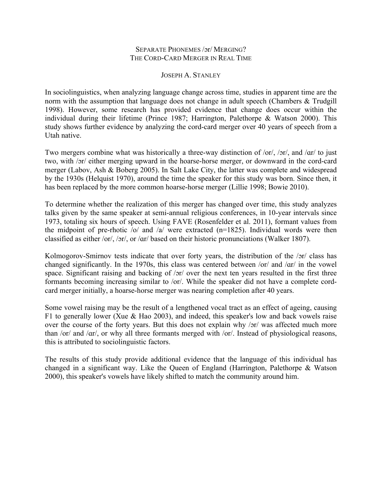## SEPARATE PHONEMES /ɔr/ MERGING? THE CORD-CARD MERGER IN REAL TIME

## JOSEPH A. STANLEY

In sociolinguistics, when analyzing language change across time, studies in apparent time are the norm with the assumption that language does not change in adult speech (Chambers & Trudgill 1998). However, some research has provided evidence that change does occur within the individual during their lifetime (Prince 1987; Harrington, Palethorpe & Watson 2000). This study shows further evidence by analyzing the cord-card merger over 40 years of speech from a Utah native.

Two mergers combine what was historically a three-way distinction of /or/, /ɔr/, and /ɑr/ to just two, with /ɔr/ either merging upward in the hoarse-horse merger, or downward in the cord-card merger (Labov, Ash & Boberg 2005). In Salt Lake City, the latter was complete and widespread by the 1930s (Helquist 1970), around the time the speaker for this study was born. Since then, it has been replaced by the more common hoarse-horse merger (Lillie 1998; Bowie 2010).

To determine whether the realization of this merger has changed over time, this study analyzes talks given by the same speaker at semi-annual religious conferences, in 10-year intervals since 1973, totaling six hours of speech. Using FAVE (Rosenfelder et al. 2011), formant values from the midpoint of pre-rhotic  $\frac{1}{2}$  o/ and  $\frac{1}{2}$  were extracted (n=1825). Individual words were then classified as either /or/, /ɔr/, or /ɑr/ based on their historic pronunciations (Walker 1807).

Kolmogorov-Smirnov tests indicate that over forty years, the distribution of the /ɔr/ class has changed significantly. In the 1970s, this class was centered between /or/ and /ɑr/ in the vowel space. Significant raising and backing of /ɔr/ over the next ten years resulted in the first three formants becoming increasing similar to /or/. While the speaker did not have a complete cordcard merger initially, a hoarse-horse merger was nearing completion after 40 years.

Some vowel raising may be the result of a lengthened vocal tract as an effect of ageing, causing F1 to generally lower (Xue & Hao 2003), and indeed, this speaker's low and back vowels raise over the course of the forty years. But this does not explain why /ɔr/ was affected much more than /or/ and /ɑr/, or why all three formants merged with /or/. Instead of physiological reasons, this is attributed to sociolinguistic factors.

The results of this study provide additional evidence that the language of this individual has changed in a significant way. Like the Queen of England (Harrington, Palethorpe & Watson 2000), this speaker's vowels have likely shifted to match the community around him.